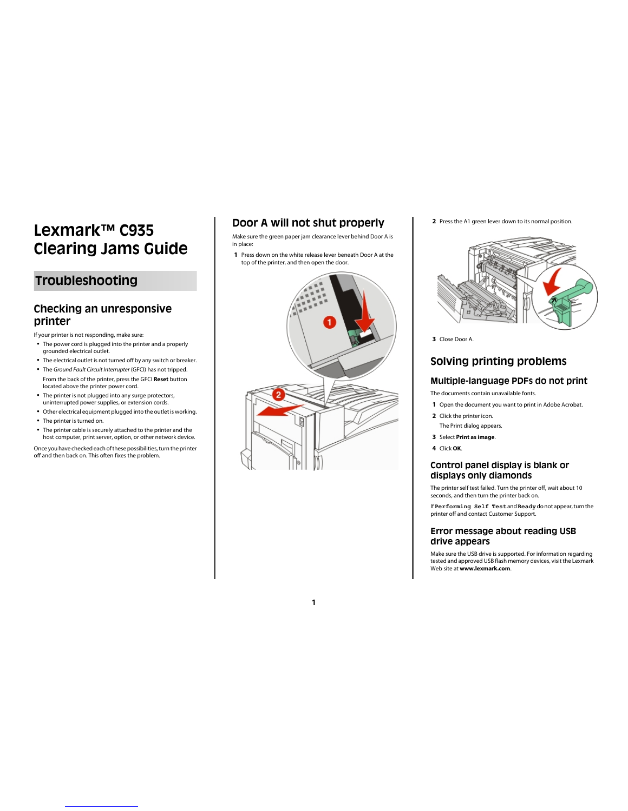# **Lexmark™ C935 Clearing Jams Guide**

# **Troubleshooting**

# **Checking an unresponsive printer**

If your printer is not responding, make sure:

- **•** The power cord is plugged into the printer and a properly grounded electrical outlet.
- **•** The electrical outlet is not turned off by any switch or breaker.
- **•** The *Ground Fault Circuit Interrupter* (GFCI) has not tripped. From the back of the printer, press the GFCI **Reset** button located above the printer power cord.
- **•** The printer is not plugged into any surge protectors, uninterrupted power supplies, or extension cords.
- **•** Other electrical equipment plugged into the outlet is working.
- **•** The printer is turned on.
- **•** The printer cable is securely attached to the printer and the host computer, print server, option, or other network device.

Once you have checked each of these possibilities, turn the printer off and then back on. This often fixes the problem.

# **Door A will not shut properly**

Make sure the green paper jam clearance lever behind Door A is in place:

**1** Press down on the white release lever beneath Door A at the top of the printer, and then open the door.



**1**

**2** Press the A1 green lever down to its normal position.



**3** Close Door A.

## **Solving printing problems**

### **Multiple-language PDFs do not print**

The documents contain unavailable fonts.

- **1** Open the document you want to print in Adobe Acrobat.
- **2** Click the printer icon.
- The Print dialog appears.
- **3** Select **Print as image**.
- **4** Click **OK**.

### **Control panel display is blank or displays only diamonds**

The printer self test failed. Turn the printer off, wait about 10 seconds, and then turn the printer back on.

If **Performing Self Test** and **Ready** do not appear, turn the printer off and contact Customer Support.

### **Error message about reading USB drive appears**

Make sure the USB drive is supported. For information regarding tested and approved USB flash memory devices, visit the Lexmark Web site at **www.lexmark.com**.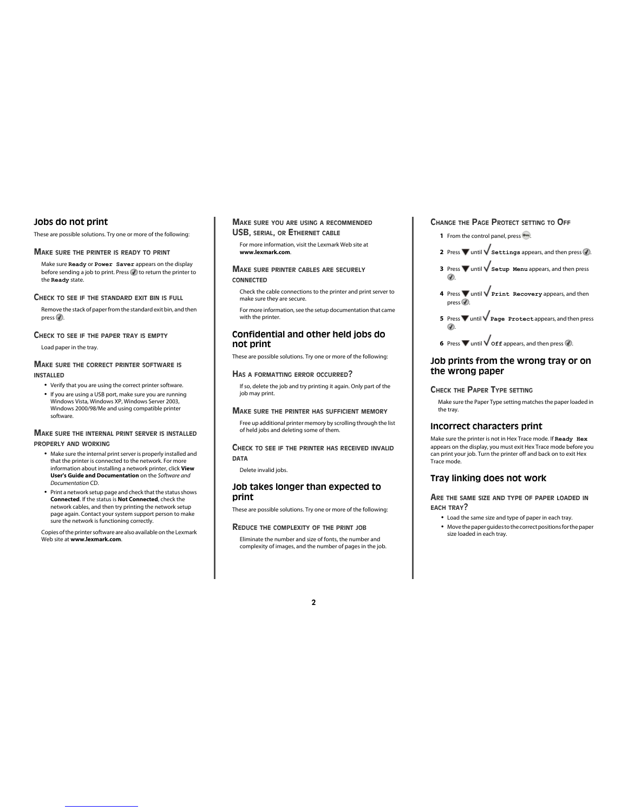### **Jobs do not print**

These are possible solutions. Try one or more of the following:

### **MAKE SURE THE PRINTER IS READY TO PRINT**

Make sure **Ready** or **Power Saver** appears on the display before sending a job to print. Press  $\mathcal Q$  to return the printer to the **Ready** state.

#### **CHECK TO SEE IF THE STANDARD EXIT BIN IS FULL**

Remove the stack of paper from the standard exit bin, and then  $pres(\vec{\theta})$ .

#### **CHECK TO SEE IF THE PAPER TRAY IS EMPTY**

Load paper in the tray.

### **MAKE SURE THE CORRECT PRINTER SOFTWARE IS INSTALLED**

- **•** Verify that you are using the correct printer software.
- **•** If you are using a USB port, make sure you are running Windows Vista, Windows XP, Windows Server 2003, Windows 2000/98/Me and using compatible printer software.

### **MAKE SURE THE INTERNAL PRINT SERVER IS INSTALLED PROPERLY AND WORKING**

- **•** Make sure the internal print server is properly installed and that the printer is connected to the network. For more information about installing a network printer, click **View User's Guide and Documentation** on the *Software and Documentation* CD.
- **•** Print a network setup page and check that the status shows **Connected**. If the status is **Not Connected**, check the network cables, and then try printing the network setup page again. Contact your system support person to make sure the network is functioning correctly.

Copies of the printer software are also available on the Lexmark Web site at **www.lexmark.com**.

### **MAKE SURE YOU ARE USING A RECOMMENDED USB, SERIAL, OR ETHERNET CABLE**

For more information, visit the Lexmark Web site at **www.lexmark.com**.

#### **MAKE SURE PRINTER CABLES ARE SECURELY CONNECTED**

Check the cable connections to the printer and print server to make sure they are secure.

For more information, see the setup documentation that came with the printer.

### **Confidential and other held jobs do not print**

These are possible solutions. Try one or more of the following:

#### **HAS <sup>A</sup> FORMATTING ERROR OCCURRED?**

If so, delete the job and try printing it again. Only part of the job may print.

#### **MAKE SURE THE PRINTER HAS SUFFICIENT MEMORY**

Free up additional printer memory by scrolling through the list of held jobs and deleting some of them.

#### **CHECK TO SEE IF THE PRINTER HAS RECEIVED INVALID DATA**

Delete invalid jobs.

### **Job takes longer than expected to print**

These are possible solutions. Try one or more of the following:

#### **REDUCE THE COMPLEXITY OF THE PRINT JOB**

Eliminate the number and size of fonts, the number and complexity of images, and the number of pages in the job.

### **CHANGE THE PAGE PROTECT SETTING TO OFF**

- **1** From the control panel, press ...
- **2** Press  $\blacktriangledown$  until  $\blacktriangledown$  **Settings** appears, and then press  $\varnothing$ .
- **3** Press **v** until **Setup Menu** appears, and then press .
- **4** Press **v** until **Print Recovery** appears, and then  $pres(\vec{v})$ .
- **5** Press **v** until **Page Protect** appears, and then press .
- **6** Press  $\nabla$  until  $\sqrt{\text{off}}$  appears, and then press  $\mathcal{D}$ .

### **Job prints from the wrong tray or on the wrong paper**

#### **CHECK THE PAPER TYPE SETTING**

Make sure the Paper Type setting matches the paper loaded in the tray.

### **Incorrect characters print**

Make sure the printer is not in Hex Trace mode. If **Ready Hex** appears on the display, you must exit Hex Trace mode before you can print your job. Turn the printer off and back on to exit Hex Trace mode.

### **Tray linking does not work**

**ARE THE SAME SIZE AND TYPE OF PAPER LOADED IN EACH TRAY?**

- **•** Load the same size and type of paper in each tray.
- **•** Move the paper guides to the correct positions for the paper size loaded in each tray.

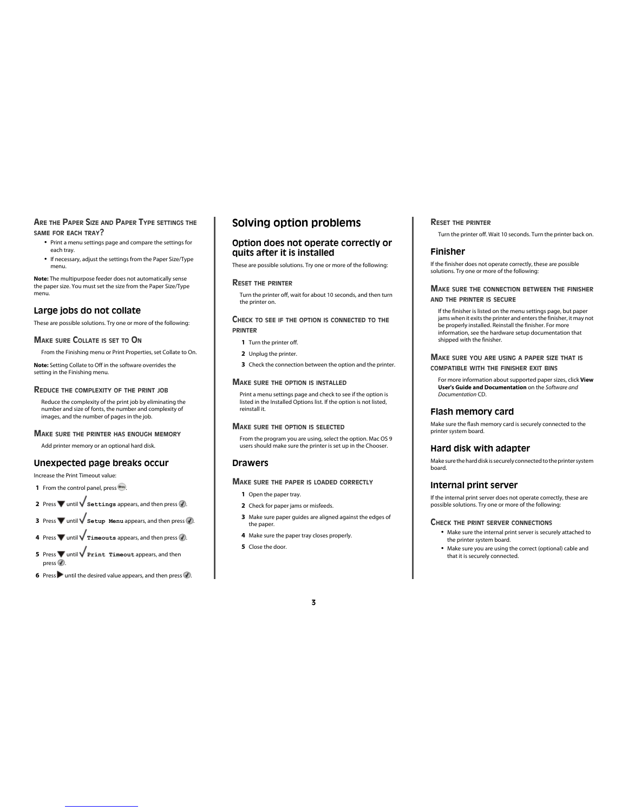### **ARE THE PAPER SIZE AND PAPER TYPE SETTINGS THE SAME FOR EACH TRAY?**

- **•** Print a menu settings page and compare the settings for each tray.
- **•** If necessary, adjust the settings from the Paper Size/Type menu.

**Note:** The multipurpose feeder does not automatically sense the paper size. You must set the size from the Paper Size/Type menu.

### **Large jobs do not collate**

These are possible solutions. Try one or more of the following:

#### **MAKE SURE COLLATE IS SET TO O<sup>N</sup>**

setting in the Finishing menu.

From the Finishing menu or Print Properties, set Collate to On. **Note:** Setting Collate to Off in the software overrides the

### **REDUCE THE COMPLEXITY OF THE PRINT JOB**

Reduce the complexity of the print job by eliminating the number and size of fonts, the number and complexity of images, and the number of pages in the job.

### **MAKE SURE THE PRINTER HAS ENOUGH MEMORY**

Add printer memory or an optional hard disk.

### **Unexpected page breaks occur**

Increase the Print Timeout value:

- **1** From the control panel, press ...
- **2** Press  $\nabla$  until  $\nabla$  **Settings** appears, and then press  $\mathcal{D}$ .
- **3** Press  $\blacktriangledown$  until  $\blacktriangle$  **Setup Menu** appears, and then press  $\blacktriangle$ .
- **4** Press  $\blacktriangledown$  until  $\sqrt{\mathtt{rimeouts}}$  appears, and then press  $\blacklozenge$ .
- **5** Press **v** until **V** Print Timeout appears, and then  $pres \circledR$ .
- **6** Press **v** until the desired value appears, and then press  $\mathcal{F}$ .

## **Solving option problems**

### **Option does not operate correctly or quits after it is installed**

These are possible solutions. Try one or more of the following:

#### **RESET THE PRINTER**

Turn the printer off, wait for about 10 seconds, and then turn the printer on.

### **CHECK TO SEE IF THE OPTION IS CONNECTED TO THE PRINTER**

- **1** Turn the printer off.
- **2** Unplug the printer.
- **3** Check the connection between the option and the printer.

#### **MAKE SURE THE OPTION IS INSTALLED**

Print a menu settings page and check to see if the option is listed in the Installed Options list. If the option is not listed, reinstall it.

### **MAKE SURE THE OPTION IS SELECTED**

From the program you are using, select the option. Mac OS 9 users should make sure the printer is set up in the Chooser.

### **Drawers**

#### **MAKE SURE THE PAPER IS LOADED CORRECTLY**

- **1** Open the paper tray.
- **2** Check for paper jams or misfeeds.
- **3** Make sure paper guides are aligned against the edges of the paper.

**3**

- **4** Make sure the paper tray closes properly.
- **5** Close the door.

#### **RESET THE PRINTER**

Turn the printer off. Wait 10 seconds. Turn the printer back on.

#### **Finisher**

If the finisher does not operate correctly, these are possible solutions. Try one or more of the following:

#### **MAKE SURE THE CONNECTION BETWEEN THE FINISHER AND THE PRINTER IS SECURE**

If the finisher is listed on the menu settings page, but paper jams when it exits the printer and enters the finisher, it may not be properly installed. Reinstall the finisher. For more information, see the hardware setup documentation that shipped with the finisher.

### **MAKE SURE YOU ARE USING <sup>A</sup> PAPER SIZE THAT IS COMPATIBLE WITH THE FINISHER EXIT BINS**

For more information about supported paper sizes, click **View User's Guide and Documentation** on the *Software and Documentation* CD.

### **Flash memory card**

Make sure the flash memory card is securely connected to the printer system board.

### **Hard disk with adapter**

Make sure the hard disk is securely connected to the printer system board.

### **Internal print server**

If the internal print server does not operate correctly, these are possible solutions. Try one or more of the following:

### **CHECK THE PRINT SERVER CONNECTIONS**

- **•** Make sure the internal print server is securely attached to the printer system board.
- **•** Make sure you are using the correct (optional) cable and that it is securely connected.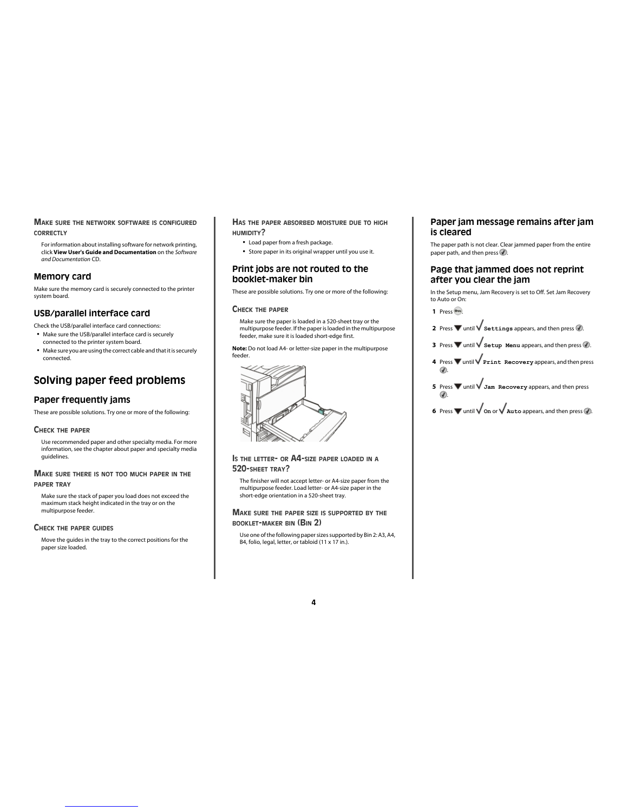#### **MAKE SURE THE NETWORK SOFTWARE IS CONFIGURED CORRECTLY**

For information about installing software for network printing, click **View User's Guide and Documentation** on the *Software and Documentation* CD.

### **Memory card**

Make sure the memory card is securely connected to the printer system board.

### **USB/parallel interface card**

Check the USB/parallel interface card connections:

- **•** Make sure the USB/parallel interface card is securely connected to the printer system board.
- **•** Make sure you are using the correct cable and that it is securely connected.

# **Solving paper feed problems**

### **Paper frequently jams**

These are possible solutions. Try one or more of the following:

#### **CHECK THE PAPER**

Use recommended paper and other specialty media. For more information, see the chapter about paper and specialty media guidelines.

### **MAKE SURE THERE IS NOT TOO MUCH PAPER IN THE PAPER TRAY**

Make sure the stack of paper you load does not exceed the maximum stack height indicated in the tray or on the multipurpose feeder.

#### **CHECK THE PAPER GUIDES**

Move the guides in the tray to the correct positions for the paper size loaded.

### **HAS THE PAPER ABSORBED MOISTURE DUE TO HIGH HUMIDITY?**

- **•** Load paper from a fresh package.
- **•** Store paper in its original wrapper until you use it.

### **Print jobs are not routed to the booklet-maker bin**

These are possible solutions. Try one or more of the following:

#### **CHECK THE PAPER**

Make sure the paper is loaded in a 520-sheet tray or the multipurpose feeder. If the paper is loaded in the multipurpose feeder, make sure it is loaded short-edge first.

**Note:** Do not load A4- or letter-size paper in the multipurpose feeder.



#### **I<sup>S</sup> THE LETTER- OR A4-SIZE PAPER LOADED IN <sup>A</sup> 520-SHEET TRAY?**

The finisher will not accept letter- or A4-size paper from the multipurpose feeder. Load letter- or A4-size paper in the short-edge orientation in a 520-sheet tray.

### **MAKE SURE THE PAPER SIZE IS SUPPORTED BY THE BOOKLET-MAKER BIN (BIN 2)**

Use one of the following paper sizes supported by Bin 2: A3, A4, B4, folio, legal, letter, or tabloid (11 x 17 in.).

### **Paper jam message remains after jam is cleared**

The paper path is not clear. Clear jammed paper from the entire paper path, and then press  $\mathcal Q$ .

### **Page that jammed does not reprint after you clear the jam**

In the Setup menu, Jam Recovery is set to Off. Set Jam Recovery to Auto or On:

- **1** Press ...
- **2** Press  $\blacktriangledown$  until  $\blacktriangledown$  **Settings** appears, and then press  $\heartsuit$ .
- **3** Press  $\blacktriangledown$  until  $\blacktriangledown$  **Setup Menu** appears, and then press  $\blacktriangleleft$ .
- **4** Press **v** until **V** Print Recovery appears, and then press .
- **5** Press **v** until **V** Jam Recovery appears, and then press .
- **6** Press  $\nabla$  until  $\nabla$  on or  $\nabla$  **Auto** appears, and then press  $\mathcal{D}$ .

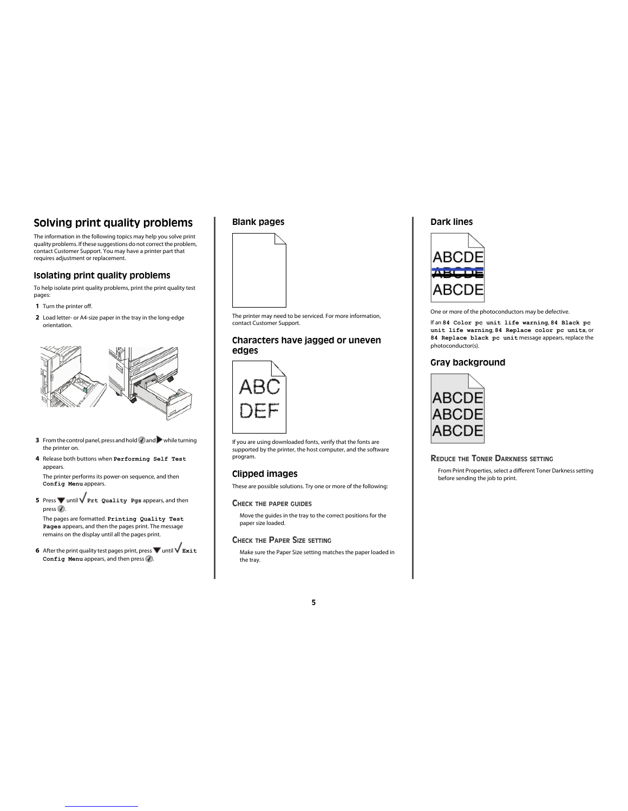# **Solving print quality problems**

The information in the following topics may help you solve print quality problems. If these suggestions do not correct the problem, contact Customer Support. You may have a printer part that requires adjustment or replacement.

### **Isolating print quality problems**

To help isolate print quality problems, print the print quality test pages:

- **1** Turn the printer off.
- **2** Load letter- or A4-size paper in the tray in the long-edge orientation.



- **3** From the control panel, press and hold  $\bigcirc$  and while turning the printer on.
- **4** Release both buttons when **Performing Self Test** appears.

The printer performs its power-on sequence, and then **Config Menu** appears.

**5** Press wuntil  $\sqrt{Prt}$  Quality Pgs appears, and then  $pres \circledR$ .

The pages are formatted. **Printing Quality Test Pages** appears, and then the pages print. The message remains on the display until all the pages print.

**6** After the print quality test pages print, press  $\blacktriangledown$  until  $\blacktriangledown$  **Exit Config Menu** appears, and then press ...

### **Blank pages**



The printer may need to be serviced. For more information, contact Customer Support.

### **Characters have jagged or uneven edges**



If you are using downloaded fonts, verify that the fonts are supported by the printer, the host computer, and the software program.

### **Clipped images**

These are possible solutions. Try one or more of the following:

### **CHECK THE PAPER GUIDES**

Move the guides in the tray to the correct positions for the paper size loaded.

#### **CHECK THE PAPER SIZE SETTING**

Make sure the Paper Size setting matches the paper loaded in the tray.

### **Dark lines**



One or more of the photoconductors may be defective.

If an **84 Color pc unit life warning**, **84 Black pc unit life warning**, **84 Replace color pc units**, or **84 Replace black pc unit** message appears, replace the photoconductor(s).

### **Gray background**



### **REDUCE THE TONER DARKNESS SETTING**

From Print Properties, select a different Toner Darkness setting before sending the job to print.

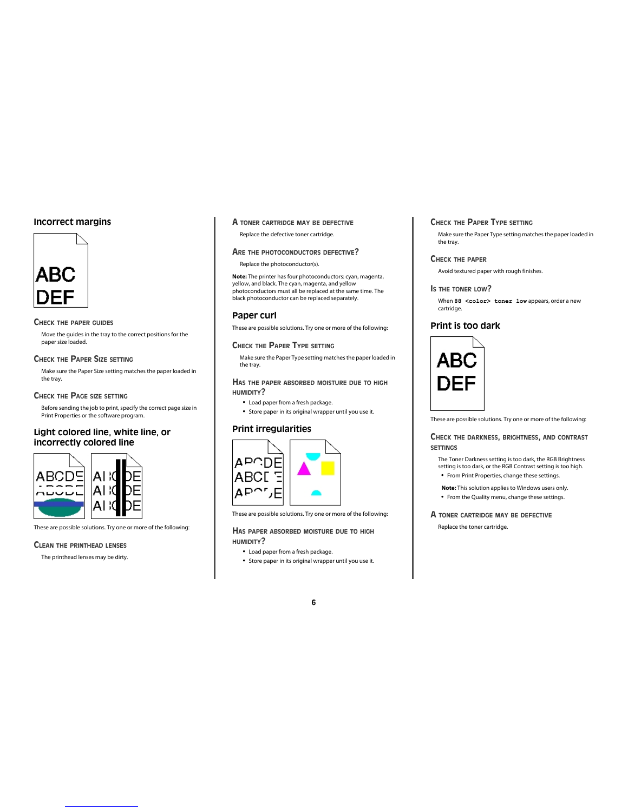### **Incorrect margins**



#### **CHECK THE PAPER GUIDES**

Move the guides in the tray to the correct positions for the paper size loaded.

### **CHECK THE PAPER SIZE SETTING**

Make sure the Paper Size setting matches the paper loaded in the tray.

### **CHECK THE PAGE SIZE SETTING**

Before sending the job to print, specify the correct page size in Print Properties or the software program.

### **Light colored line, white line, or incorrectly colored line**



These are possible solutions. Try one or more of the following:

### **CLEAN THE PRINTHEAD LENSES**

The printhead lenses may be dirty.

### **A TONER CARTRIDGE MAY BE DEFECTIVE** Replace the defective toner cartridge.

# **ARE THE PHOTOCONDUCTORS DEFECTIVE?**

Replace the photoconductor(s).

**Note:** The printer has four photoconductors: cyan, magenta, yellow, and black. The cyan, magenta, and yellow photoconductors must all be replaced at the same time. The black photoconductor can be replaced separately.

### **Paper curl**

These are possible solutions. Try one or more of the following:

#### **CHECK THE PAPER TYPE SETTING**

Make sure the Paper Type setting matches the paper loaded in the tray.

### **HAS THE PAPER ABSORBED MOISTURE DUE TO HIGH HUMIDITY?**

- **•** Load paper from a fresh package.
- **•** Store paper in its original wrapper until you use it.

### **Print irregularities**



These are possible solutions. Try one or more of the following:

#### **HAS PAPER ABSORBED MOISTURE DUE TO HIGH HUMIDITY?**

- **•** Load paper from a fresh package.
- **•** Store paper in its original wrapper until you use it.

### **CHECK THE PAPER TYPE SETTING**

Make sure the Paper Type setting matches the paper loaded in the tray.

#### **CHECK THE PAPER**

Avoid textured paper with rough finishes.

#### **I<sup>S</sup> THE TONER LOW?**

When 88 <color> toner low appears, order a new cartridge.

### **Print is too dark**



These are possible solutions. Try one or more of the following:

#### **CHECK THE DARKNESS, BRIGHTNESS, AND CONTRAST SETTINGS**

- The Toner Darkness setting is too dark, the RGB Brightness setting is too dark, or the RGB Contrast setting is too high. **•** From Print Properties, change these settings.
- 
- **Note:** This solution applies to Windows users only.
- **•** From the Quality menu, change these settings.

### **A TONER CARTRIDGE MAY BE DEFECTIVE**

Replace the toner cartridge.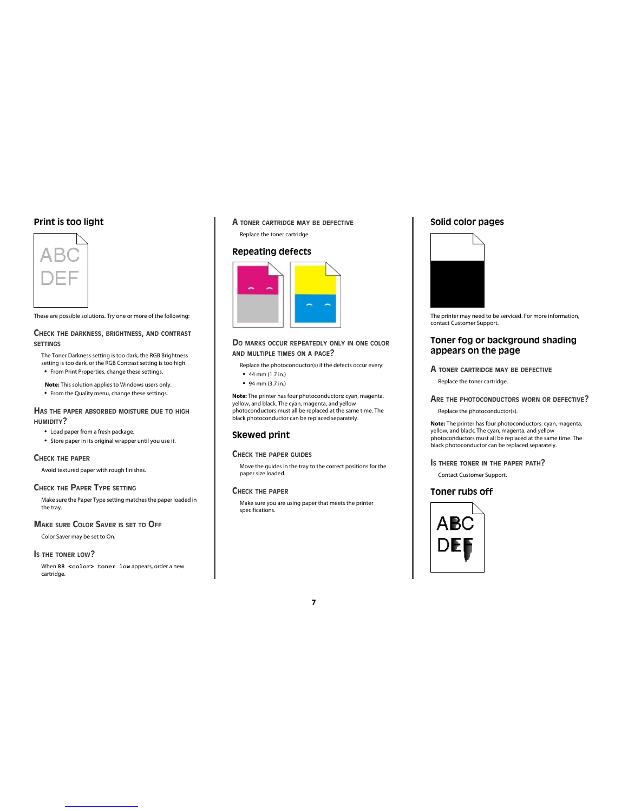### **Print is too light**



These are possible solutions. Try one or more of the following:

### **CHECK THE DARKNESS, BRIGHTNESS, AND CONTRAST SETTINGS**

The Toner Darkness setting is too dark, the RGB Brightness setting is too dark, or the RGB Contrast setting is too high. **•** From Print Properties, change these settings.

**Note:** This solution applies to Windows users only.

**•** From the Quality menu, change these settings.

### **HAS THE PAPER ABSORBED MOISTURE DUE TO HIGH HUMIDITY?**

- **•** Load paper from a fresh package.
- **•** Store paper in its original wrapper until you use it.

#### **CHECK THE PAPER**

Avoid textured paper with rough finishes.

### **CHECK THE PAPER TYPE SETTING**

Make sure the Paper Type setting matches the paper loaded in the tray.

### **MAKE SURE COLOR SAVER IS SET TO OFF**

Color Saver may be set to On.

### **IS THE TONER LOW?**

When 88 <color> toner low appears, order a new cartridge.

### **A TONER CARTRIDGE MAY BE DEFECTIVE** Replace the toner cartridge.

### **Repeating defects**



### **D<sup>O</sup> MARKS OCCUR REPEATEDLY ONLY IN ONE COLOR AND MULTIPLE TIMES ON <sup>A</sup> PAGE?**

Replace the photoconductor(s) if the defects occur every:

- **•** 44 mm (1.7 in.)
- **•** 94 mm (3.7 in.)

**Note:** The printer has four photoconductors: cyan, magenta, yellow, and black. The cyan, magenta, and yellow photoconductors must all be replaced at the same time. The black photoconductor can be replaced separately.

### **Skewed print**

#### **CHECK THE PAPER GUIDES**

Move the guides in the tray to the correct positions for the move are garacom

### **CHECK THE PAPER**

Make sure you are using paper that meets the printer specifications.

### **Solid color pages**



The printer may need to be serviced. For more information, contact Customer Support.

### **Toner fog or background shading appears on the page**

#### **A TONER CARTRIDGE MAY BE DEFECTIVE**

Replace the toner cartridge.

### **ARE THE PHOTOCONDUCTORS WORN OR DEFECTIVE?**

Replace the photoconductor(s).

**Note:** The printer has four photoconductors: cyan, magenta, yellow, and black. The cyan, magenta, and yellow photoconductors must all be replaced at the same time. The black photoconductor can be replaced separately.

#### **I<sup>S</sup> THERE TONER IN THE PAPER PATH?**

Contact Customer Support.

### **Toner rubs off**

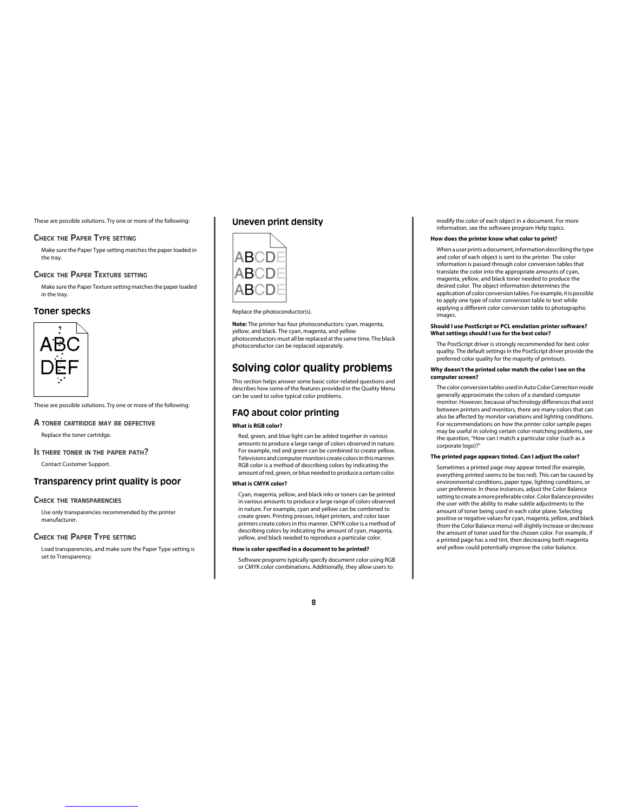These are possible solutions. Try one or more of the following:

#### **CHECK THE PAPER TYPE SETTING**

Make sure the Paper Type setting matches the paper loaded in the tray.

#### **CHECK THE PAPER TEXTURE SETTING**

Make sure the Paper Texture setting matches the paper loaded in the tray.

### **Toner specks**



These are possible solutions. Try one or more of the following:

# **A TONER CARTRIDGE MAY BE DEFECTIVE**

Replace the toner cartridge.

**I<sup>S</sup> THERE TONER IN THE PAPER PATH?** Contact Customer Support.

### **Transparency print quality is poor**

#### **CHECK THE TRANSPARENCIES**

Use only transparencies recommended by the printer manufacturer.

#### **CHECK THE PAPER TYPE SETTING**

Load transparencies, and make sure the Paper Type setting is set to Transparency.

### **Uneven print density**



Replace the photoconductor(s).

**Note:** The printer has four photoconductors: cyan, magenta, yellow, and black. The cyan, magenta, and yellow photoconductors must all be replaced at the same time. The black photoconductor can be replaced separately.

### **Solving color quality problems**

This section helps answer some basic color-related questions and describes how some of the features provided in the Quality Menu can be used to solve typical color problems.

#### **FAQ about color printing**

#### **What is RGB color?**

Red, green, and blue light can be added together in various amounts to produce a large range of colors observed in nature. For example, red and green can be combined to create yellow. Televisions and computer monitors create colors in this manner. RGB color is a method of describing colors by indicating the amount of red, green, or blue needed to produce a certain color.

#### **What is CMYK color?**

Cyan, magenta, yellow, and black inks or toners can be printed in various amounts to produce a large range of colors observed in nature. For example, cyan and yellow can be combined to create green. Printing presses, inkjet printers, and color laser printers create colors in this manner. CMYK color is a method of describing colors by indicating the amount of cyan, magenta, yellow, and black needed to reproduce a particular color.

#### **How is color specified in a document to be printed?**

Software programs typically specify document color using RGB or CMYK color combinations. Additionally, they allow users to

modify the color of each object in a document. For more information, see the software program Help topics.

#### **How does the printer know what color to print?**

When a user prints a document, information describing the type and color of each object is sent to the printer. The color information is passed through color conversion tables that translate the color into the appropriate amounts of cyan, magenta, yellow, and black toner needed to produce the desired color. The object information determines the application of color conversion tables. For example, it is possible to apply one type of color conversion table to text while applying a different color conversion table to photographic images.

#### **Should I use PostScript or PCL emulation printer software? What settings should I use for the best color?**

The PostScript driver is strongly recommended for best color quality. The default settings in the PostScript driver provide the preferred color quality for the majority of printouts.

#### **Why doesn't the printed color match the color I see on the computer screen?**

The color conversion tables used in Auto Color Correction mode generally approximate the colors of a standard computer monitor. However, because of technology differences that exist between printers and monitors, there are many colors that can also be affected by monitor variations and lighting conditions. For recommendations on how the printer color sample pages may be useful in solving certain color-matching problems, see the question, "How can I match a particular color (such as a corporate logo)?"

### **The printed page appears tinted. Can I adjust the color?**

Sometimes a printed page may appear tinted (for example, everything printed seems to be too red). This can be caused by environmental conditions, paper type, lighting conditions, or user preference. In these instances, adjust the Color Balance setting to create a more preferable color. Color Balance provides the user with the ability to make subtle adjustments to the amount of toner being used in each color plane. Selecting positive or negative values for cyan, magenta, yellow, and black (from the Color Balance menu) will slightly increase or decrease the amount of toner used for the chosen color. For example, if a printed page has a red tint, then decreasing both magenta and yellow could potentially improve the color balance.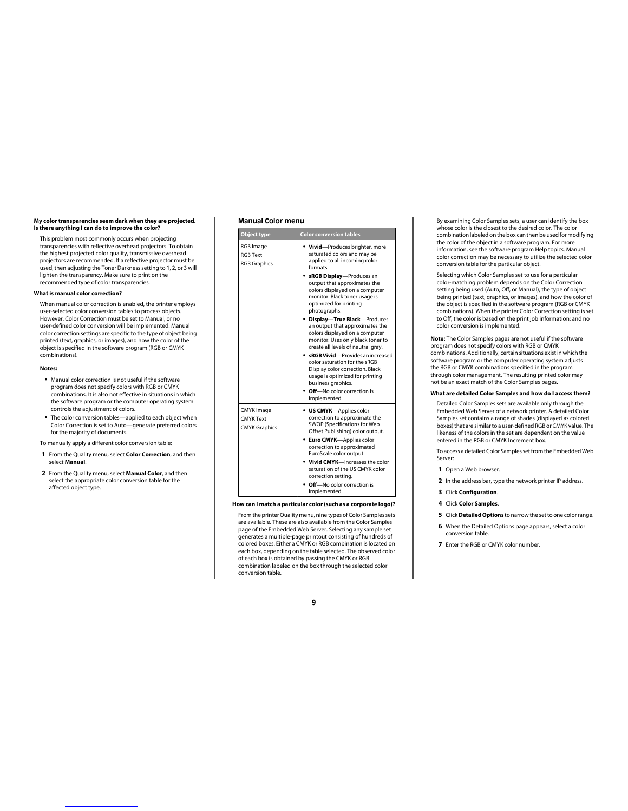#### **My color transparencies seem dark when they are projected. Is there anything I can do to improve the color?**

This problem most commonly occurs when projecting transparencies with reflective overhead projectors. To obtain the highest projected color quality, transmissive overhead projectors are recommended. If a reflective projector must be used, then adjusting the Toner Darkness setting to 1, 2, or 3 will lighten the transparency. Make sure to print on the recommended type of color transparencies.

#### **What is manual color correction?**

When manual color correction is enabled, the printer employs user-selected color conversion tables to process objects. However, Color Correction must be set to Manual, or no user-defined color conversion will be implemented. Manual color correction settings are specific to the type of object being printed (text, graphics, or images), and how the color of the object is specified in the software program (RGB or CMYK combinations).

#### **Notes:**

- **•** Manual color correction is not useful if the software program does not specify colors with RGB or CMYK combinations. It is also not effective in situations in which the software program or the computer operating system controls the adjustment of colors.
- **•** The color conversion tables—applied to each object when Color Correction is set to Auto—generate preferred colors for the majority of documents.

To manually apply a different color conversion table:

- **1** From the Quality menu, select **Color Correction**, and then select **Manual**.
- **2** From the Quality menu, select **Manual Color**, and then select the appropriate color conversion table for the affected object type.

#### **Manual Color menu**

| <b>Object type</b>                                            | <b>Color conversion tables</b>                                                                                                                                                                                                                                                                                                             |
|---------------------------------------------------------------|--------------------------------------------------------------------------------------------------------------------------------------------------------------------------------------------------------------------------------------------------------------------------------------------------------------------------------------------|
| RGB Image<br><b>RGB Text</b><br><b>RGB Graphics</b>           | • Vivid-Produces brighter, more<br>saturated colors and may be<br>applied to all incoming color<br>formats                                                                                                                                                                                                                                 |
|                                                               | sRGB Display-Produces an<br>output that approximates the<br>colors displayed on a computer<br>monitor. Black toner usage is<br>optimized for printing<br>photographs.                                                                                                                                                                      |
|                                                               | <b>Display-True Black-Produces</b><br>an output that approximates the<br>colors displayed on a computer<br>monitor. Uses only black toner to<br>create all levels of neutral gray.                                                                                                                                                         |
|                                                               | sRGB Vivid-Provides an increased<br>color saturation for the sRGB<br>Display color correction. Black<br>usage is optimized for printing<br>business graphics.                                                                                                                                                                              |
|                                                               | Off-No color correction is<br>implemented.                                                                                                                                                                                                                                                                                                 |
| <b>CMYK Image</b><br><b>CMYK Text</b><br><b>CMYK Graphics</b> | • US CMYK-Applies color<br>correction to approximate the<br>SWOP (Specifications for Web<br>Offset Publishing) color output.<br>Euro CMYK-Applies color<br>correction to approximated<br>EuroScale color output.<br>Vivid CMYK-Increases the color<br>saturation of the US CMYK color<br>correction setting.<br>Off-No color correction is |
|                                                               | implemented.                                                                                                                                                                                                                                                                                                                               |

**How can I match a particular color (such as a corporate logo)?**

From the printer Quality menu, nine types of Color Samples sets are available. These are also available from the Color Samples page of the Embedded Web Server. Selecting any sample set generates a multiple-page printout consisting of hundreds of colored boxes. Either a CMYK or RGB combination is located on each box, depending on the table selected. The observed color of each box is obtained by passing the CMYK or RGB combination labeled on the box through the selected color conversion table.

By examining Color Samples sets, a user can identify the box whose color is the closest to the desired color. The color combination labeled on the box can then be used for modifying the color of the object in a software program. For more information, see the software program Help topics. Manual color correction may be necessary to utilize the selected color conversion table for the particular object.

Selecting which Color Samples set to use for a particular color-matching problem depends on the Color Correction setting being used (Auto, Off, or Manual), the type of object being printed (text, graphics, or images), and how the color of the object is specified in the software program (RGB or CMYK combinations). When the printer Color Correction setting is set to Off, the color is based on the print job information; and no color conversion is implemented.

**Note:** The Color Samples pages are not useful if the software program does not specify colors with RGB or CMYK combinations. Additionally, certain situations exist in which the software program or the computer operating system adjusts the RGB or CMYK combinations specified in the program through color management. The resulting printed color may not be an exact match of the Color Samples pages.

#### **What are detailed Color Samples and how do I access them?**

Detailed Color Samples sets are available only through the Embedded Web Server of a network printer. A detailed Color Samples set contains a range of shades (displayed as colored boxes) that are similar to a user-defined RGB or CMYK value. The likeness of the colors in the set are dependent on the value entered in the RGB or CMYK Increment box.

To access a detailed Color Samples set from the Embedded Web Server:

- **1** Open a Web browser.
- **2** In the address bar, type the network printer IP address.
- **3** Click **Configuration**.
- **4** Click **Color Samples**.
- **5** Click **Detailed Options** to narrow the set to one color range.
- **6** When the Detailed Options page appears, select a color conversion table.
- **7** Enter the RGB or CMYK color number.